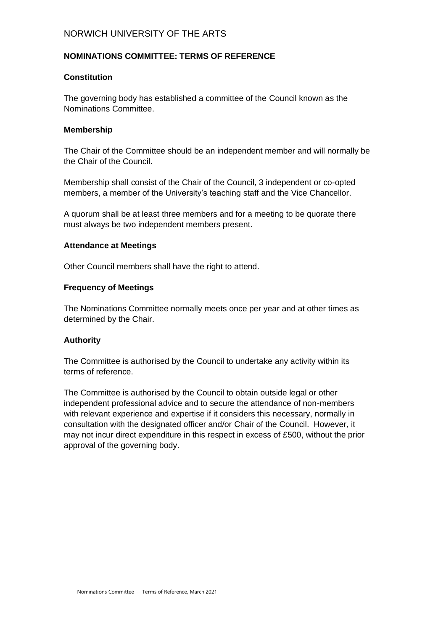# NORWICH UNIVERSITY OF THE ARTS

### **NOMINATIONS COMMITTEE: TERMS OF REFERENCE**

### **Constitution**

The governing body has established a committee of the Council known as the Nominations Committee.

### **Membership**

The Chair of the Committee should be an independent member and will normally be the Chair of the Council.

Membership shall consist of the Chair of the Council, 3 independent or co-opted members, a member of the University's teaching staff and the Vice Chancellor.

A quorum shall be at least three members and for a meeting to be quorate there must always be two independent members present.

### **Attendance at Meetings**

Other Council members shall have the right to attend.

### **Frequency of Meetings**

The Nominations Committee normally meets once per year and at other times as determined by the Chair.

### **Authority**

The Committee is authorised by the Council to undertake any activity within its terms of reference.

The Committee is authorised by the Council to obtain outside legal or other independent professional advice and to secure the attendance of non-members with relevant experience and expertise if it considers this necessary, normally in consultation with the designated officer and/or Chair of the Council. However, it may not incur direct expenditure in this respect in excess of £500, without the prior approval of the governing body.